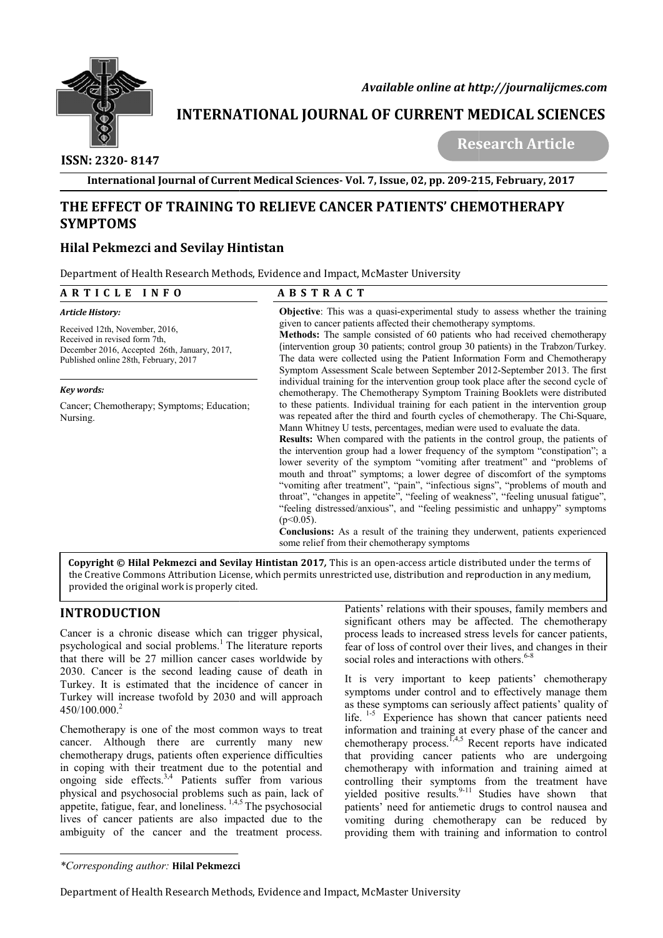

# **INTERNATIONAL JOURNAL OF CURRENT MEDICAL SCIENCES**<br>Research Article

## **ISSN: 2320- 8147**

## **THE EFFECT OF TRAINING TO RELIEVE CANCER PATIENTS' CHEMOTHERAPY SYMPTOMS**

## **Hilal Pekmezci and Sevilay Hintistan**

| $\mathbb{Z}$ E<br>$\varnothing$                                                                                                                                                                                                                                                                                                                                                                                                                                                                                                                        |                                                                                                                                                                                                                                                                                                                                                                                                                     | Available online at http://journalijcmes.com                                                                                                                                                                                                                                                                                                                                                                                                                                                                                                                                                                                                                                                                                                                                                                                                                                                                                                                          |  |  |  |
|--------------------------------------------------------------------------------------------------------------------------------------------------------------------------------------------------------------------------------------------------------------------------------------------------------------------------------------------------------------------------------------------------------------------------------------------------------------------------------------------------------------------------------------------------------|---------------------------------------------------------------------------------------------------------------------------------------------------------------------------------------------------------------------------------------------------------------------------------------------------------------------------------------------------------------------------------------------------------------------|-----------------------------------------------------------------------------------------------------------------------------------------------------------------------------------------------------------------------------------------------------------------------------------------------------------------------------------------------------------------------------------------------------------------------------------------------------------------------------------------------------------------------------------------------------------------------------------------------------------------------------------------------------------------------------------------------------------------------------------------------------------------------------------------------------------------------------------------------------------------------------------------------------------------------------------------------------------------------|--|--|--|
| $\bigcirc$                                                                                                                                                                                                                                                                                                                                                                                                                                                                                                                                             |                                                                                                                                                                                                                                                                                                                                                                                                                     | <b>INTERNATIONAL JOURNAL OF CURRENT MEDICAL SCIENCES</b>                                                                                                                                                                                                                                                                                                                                                                                                                                                                                                                                                                                                                                                                                                                                                                                                                                                                                                              |  |  |  |
| ISSN: 2320-8147                                                                                                                                                                                                                                                                                                                                                                                                                                                                                                                                        |                                                                                                                                                                                                                                                                                                                                                                                                                     | <b>Research Article</b>                                                                                                                                                                                                                                                                                                                                                                                                                                                                                                                                                                                                                                                                                                                                                                                                                                                                                                                                               |  |  |  |
|                                                                                                                                                                                                                                                                                                                                                                                                                                                                                                                                                        |                                                                                                                                                                                                                                                                                                                                                                                                                     | International Journal of Current Medical Sciences-Vol. 7, Issue, 02, pp. 209-215, February, 2017                                                                                                                                                                                                                                                                                                                                                                                                                                                                                                                                                                                                                                                                                                                                                                                                                                                                      |  |  |  |
|                                                                                                                                                                                                                                                                                                                                                                                                                                                                                                                                                        |                                                                                                                                                                                                                                                                                                                                                                                                                     | THE EFFECT OF TRAINING TO RELIEVE CANCER PATIENTS' CHEMOTHERAPY                                                                                                                                                                                                                                                                                                                                                                                                                                                                                                                                                                                                                                                                                                                                                                                                                                                                                                       |  |  |  |
| <b>SYMPTOMS</b>                                                                                                                                                                                                                                                                                                                                                                                                                                                                                                                                        |                                                                                                                                                                                                                                                                                                                                                                                                                     |                                                                                                                                                                                                                                                                                                                                                                                                                                                                                                                                                                                                                                                                                                                                                                                                                                                                                                                                                                       |  |  |  |
|                                                                                                                                                                                                                                                                                                                                                                                                                                                                                                                                                        |                                                                                                                                                                                                                                                                                                                                                                                                                     |                                                                                                                                                                                                                                                                                                                                                                                                                                                                                                                                                                                                                                                                                                                                                                                                                                                                                                                                                                       |  |  |  |
| <b>Hilal Pekmezci and Sevilay Hintistan</b>                                                                                                                                                                                                                                                                                                                                                                                                                                                                                                            |                                                                                                                                                                                                                                                                                                                                                                                                                     |                                                                                                                                                                                                                                                                                                                                                                                                                                                                                                                                                                                                                                                                                                                                                                                                                                                                                                                                                                       |  |  |  |
| Department of Health Research Methods, Evidence and Impact, McMaster University                                                                                                                                                                                                                                                                                                                                                                                                                                                                        |                                                                                                                                                                                                                                                                                                                                                                                                                     |                                                                                                                                                                                                                                                                                                                                                                                                                                                                                                                                                                                                                                                                                                                                                                                                                                                                                                                                                                       |  |  |  |
| ARTICLE INFO                                                                                                                                                                                                                                                                                                                                                                                                                                                                                                                                           | <b>ABSTRACT</b>                                                                                                                                                                                                                                                                                                                                                                                                     |                                                                                                                                                                                                                                                                                                                                                                                                                                                                                                                                                                                                                                                                                                                                                                                                                                                                                                                                                                       |  |  |  |
| Article History:                                                                                                                                                                                                                                                                                                                                                                                                                                                                                                                                       |                                                                                                                                                                                                                                                                                                                                                                                                                     | Objective: This was a quasi-experimental study to assess whether the training<br>given to cancer patients affected their chemotherapy symptoms.                                                                                                                                                                                                                                                                                                                                                                                                                                                                                                                                                                                                                                                                                                                                                                                                                       |  |  |  |
| Received 12th, November, 2016,<br>Received in revised form 7th,<br>December 2016, Accepted 26th, January, 2017,<br>Published online 28th, February, 2017                                                                                                                                                                                                                                                                                                                                                                                               | Methods: The sample consisted of 60 patients who had received chemotherapy<br>(intervention group 30 patients; control group 30 patients) in the Trabzon/Turkey.<br>The data were collected using the Patient Information Form and Chemotherapy<br>Symptom Assessment Scale between September 2012-September 2013. The first<br>individual training for the intervention group took place after the second cycle of |                                                                                                                                                                                                                                                                                                                                                                                                                                                                                                                                                                                                                                                                                                                                                                                                                                                                                                                                                                       |  |  |  |
| Key words:                                                                                                                                                                                                                                                                                                                                                                                                                                                                                                                                             |                                                                                                                                                                                                                                                                                                                                                                                                                     | chemotherapy. The Chemotherapy Symptom Training Booklets were distributed                                                                                                                                                                                                                                                                                                                                                                                                                                                                                                                                                                                                                                                                                                                                                                                                                                                                                             |  |  |  |
| Cancer; Chemotherapy; Symptoms; Education;<br>Nursing.                                                                                                                                                                                                                                                                                                                                                                                                                                                                                                 | $(p<0.05)$ .                                                                                                                                                                                                                                                                                                                                                                                                        | to these patients. Individual training for each patient in the intervention group<br>was repeated after the third and fourth cycles of chemotherapy. The Chi-Square,<br>Mann Whitney U tests, percentages, median were used to evaluate the data.<br>Results: When compared with the patients in the control group, the patients of<br>the intervention group had a lower frequency of the symptom "constipation"; a<br>lower severity of the symptom "vomiting after treatment" and "problems of<br>mouth and throat" symptoms; a lower degree of discomfort of the symptoms<br>"vomiting after treatment", "pain", "infectious signs", "problems of mouth and<br>throat", "changes in appetite", "feeling of weakness", "feeling unusual fatigue",<br>"feeling distressed/anxious", and "feeling pessimistic and unhappy" symptoms<br>Conclusions: As a result of the training they underwent, patients experienced<br>some relief from their chemotherapy symptoms |  |  |  |
| provided the original work is properly cited.                                                                                                                                                                                                                                                                                                                                                                                                                                                                                                          |                                                                                                                                                                                                                                                                                                                                                                                                                     | Copyright © Hilal Pekmezci and Sevilay Hintistan 2017, This is an open-access article distributed under the terms of<br>the Creative Commons Attribution License, which permits unrestricted use, distribution and reproduction in any medium,                                                                                                                                                                                                                                                                                                                                                                                                                                                                                                                                                                                                                                                                                                                        |  |  |  |
| <b>INTRODUCTION</b>                                                                                                                                                                                                                                                                                                                                                                                                                                                                                                                                    |                                                                                                                                                                                                                                                                                                                                                                                                                     | Patients' relations with their spouses, family members and<br>significant others may be affected. The chemotherapy                                                                                                                                                                                                                                                                                                                                                                                                                                                                                                                                                                                                                                                                                                                                                                                                                                                    |  |  |  |
| Cancer is a chronic disease which can trigger physical,<br>psychological and social problems. <sup>1</sup> The literature reports<br>that there will be 27 million cancer cases worldwide by<br>2030. Cancer is the second leading cause of death in<br>Turkey. It is estimated that the incidence of cancer in<br>Turkey will increase twofold by 2030 and will approach<br>450/100.000. <sup>2</sup>                                                                                                                                                 |                                                                                                                                                                                                                                                                                                                                                                                                                     | process leads to increased stress levels for cancer patients,<br>fear of loss of control over their lives, and changes in their<br>social roles and interactions with others. <sup>6-8</sup><br>It is very important to keep patients' chemotherapy                                                                                                                                                                                                                                                                                                                                                                                                                                                                                                                                                                                                                                                                                                                   |  |  |  |
|                                                                                                                                                                                                                                                                                                                                                                                                                                                                                                                                                        |                                                                                                                                                                                                                                                                                                                                                                                                                     | symptoms under control and to effectively manage them<br>as these symptoms can seriously affect patients' quality of<br>life. $1-5$ Experience has shown that cancer patients need                                                                                                                                                                                                                                                                                                                                                                                                                                                                                                                                                                                                                                                                                                                                                                                    |  |  |  |
| Chemotherapy is one of the most common ways to treat<br>cancer. Although there are currently many new<br>chemotherapy drugs, patients often experience difficulties<br>in coping with their treatment due to the potential and<br>ongoing side effects. <sup>3,4</sup> Patients suffer from various<br>physical and psychosocial problems such as pain, lack of<br>appetite, fatigue, fear, and loneliness. $^{1,4,5}$ The psychosocial<br>lives of cancer patients are also impacted due to the<br>ambiguity of the cancer and the treatment process. |                                                                                                                                                                                                                                                                                                                                                                                                                     | information and training at every phase of the cancer and<br>chemotherapy process. <sup>1,4,5</sup> Recent reports have indicated<br>that providing cancer patients who are undergoing<br>chemotherapy with information and training aimed at<br>controlling their symptoms from the treatment have<br>yielded positive results. <sup>9-11</sup> Studies have shown<br>that<br>patients' need for antiemetic drugs to control nausea and<br>vomiting during chemotherapy can be reduced by<br>providing them with training and information to control                                                                                                                                                                                                                                                                                                                                                                                                                 |  |  |  |
| *Corresponding author: Hilal Pekmezci                                                                                                                                                                                                                                                                                                                                                                                                                                                                                                                  |                                                                                                                                                                                                                                                                                                                                                                                                                     |                                                                                                                                                                                                                                                                                                                                                                                                                                                                                                                                                                                                                                                                                                                                                                                                                                                                                                                                                                       |  |  |  |

## **INTRODUCTION**

*<sup>\*</sup>Corresponding author:* **Hilal Pekmezci**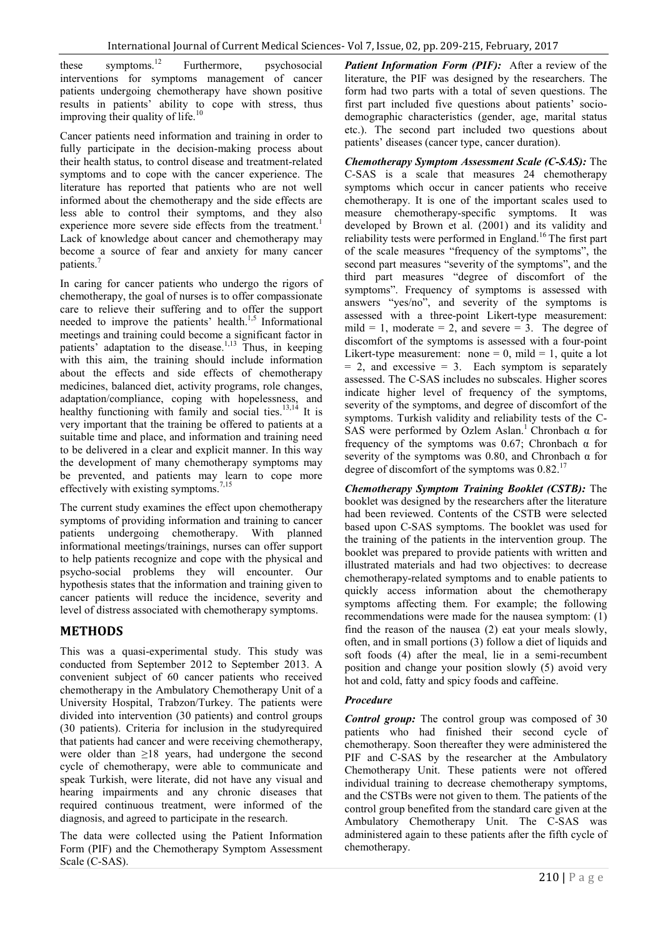these symptoms.<sup>12</sup> Furthermore, psychosocial interventions for symptoms management of cancer patients undergoing chemotherapy have shown positive results in patients' ability to cope with stress, thus improving their quality of life.<sup>10</sup>

Cancer patients need information and training in order to fully participate in the decision-making process about their health status, to control disease and treatment-related symptoms and to cope with the cancer experience. The literature has reported that patients who are not well informed about the chemotherapy and the side effects are less able to control their symptoms, and they also experience more severe side effects from the treatment.<sup>1</sup> Lack of knowledge about cancer and chemotherapy may become a source of fear and anxiety for many cancer patients.<sup>7</sup>

In caring for cancer patients who undergo the rigors of chemotherapy, the goal of nurses is to offer compassionate care to relieve their suffering and to offer the support needed to improve the patients' health.<sup>1,5</sup> Informational meetings and training could become a significant factor in patients' adaptation to the disease.1,13 Thus, in keeping with this aim, the training should include information about the effects and side effects of chemotherapy medicines, balanced diet, activity programs, role changes, adaptation/compliance, coping with hopelessness, and healthy functioning with family and social ties.<sup>13,14</sup> It is very important that the training be offered to patients at a suitable time and place, and information and training need to be delivered in a clear and explicit manner. In this way the development of many chemotherapy symptoms may be prevented, and patients may learn to cope more effectively with existing symptoms.<sup>7,15</sup>

The current study examines the effect upon chemotherapy symptoms of providing information and training to cancer patients undergoing chemotherapy. With planned informational meetings/trainings, nurses can offer support to help patients recognize and cope with the physical and psycho-social problems they will encounter. Our hypothesis states that the information and training given to cancer patients will reduce the incidence, severity and level of distress associated with chemotherapy symptoms.

## **METHODS**

This was a quasi-experimental study. This study was conducted from September 2012 to September 2013. A convenient subject of 60 cancer patients who received chemotherapy in the Ambulatory Chemotherapy Unit of a University Hospital, Trabzon/Turkey. The patients were divided into intervention (30 patients) and control groups (30 patients). Criteria for inclusion in the studyrequired that patients had cancer and were receiving chemotherapy, were older than ≥18 years, had undergone the second cycle of chemotherapy, were able to communicate and speak Turkish, were literate, did not have any visual and hearing impairments and any chronic diseases that required continuous treatment, were informed of the diagnosis, and agreed to participate in the research.

The data were collected using the Patient Information Form (PIF) and the Chemotherapy Symptom Assessment Scale (C-SAS).

*Patient Information Form (PIF):* After a review of the literature, the PIF was designed by the researchers. The form had two parts with a total of seven questions. The first part included five questions about patients' sociodemographic characteristics (gender, age, marital status etc.). The second part included two questions about patients' diseases (cancer type, cancer duration).

*Chemotherapy Symptom Assessment Scale (C-SAS):* The C-SAS is a scale that measures 24 chemotherapy symptoms which occur in cancer patients who receive chemotherapy. It is one of the important scales used to measure chemotherapy-specific symptoms. It was developed by Brown et al. (2001) and its validity and reliability tests were performed in England.<sup>16</sup> The first part of the scale measures "frequency of the symptoms", the second part measures "severity of the symptoms", and the third part measures "degree of discomfort of the symptoms". Frequency of symptoms is assessed with answers "yes/no", and severity of the symptoms is assessed with a three-point Likert-type measurement: mild = 1, moderate = 2, and severe = 3. The degree of discomfort of the symptoms is assessed with a four-point Likert-type measurement: none = 0, mild = 1, quite a lot  $= 2$ , and excessive  $= 3$ . Each symptom is separately assessed. The C-SAS includes no subscales. Higher scores indicate higher level of frequency of the symptoms, severity of the symptoms, and degree of discomfort of the symptoms. Turkish validity and reliability tests of the C-SAS were performed by Ozlem Aslan.<sup>1</sup> Chronbach  $\alpha$  for frequency of the symptoms was 0.67; Chronbach  $\alpha$  for severity of the symptoms was 0.80, and Chronbach  $\alpha$  for degree of discomfort of the symptoms was  $0.82$ .<sup>17</sup>

*Chemotherapy Symptom Training Booklet (CSTB):* The booklet was designed by the researchers after the literature had been reviewed. Contents of the CSTB were selected based upon C-SAS symptoms. The booklet was used for the training of the patients in the intervention group. The booklet was prepared to provide patients with written and illustrated materials and had two objectives: to decrease chemotherapy-related symptoms and to enable patients to quickly access information about the chemotherapy symptoms affecting them. For example; the following recommendations were made for the nausea symptom: (1) find the reason of the nausea (2) eat your meals slowly, often, and in small portions (3) follow a diet of liquids and soft foods (4) after the meal, lie in a semi-recumbent position and change your position slowly (5) avoid very hot and cold, fatty and spicy foods and caffeine.

## *Procedure*

*Control group:* The control group was composed of 30 patients who had finished their second cycle of chemotherapy. Soon thereafter they were administered the PIF and C-SAS by the researcher at the Ambulatory Chemotherapy Unit. These patients were not offered individual training to decrease chemotherapy symptoms, and the CSTBs were not given to them. The patients of the control group benefited from the standard care given at the Ambulatory Chemotherapy Unit. The C-SAS was administered again to these patients after the fifth cycle of chemotherapy.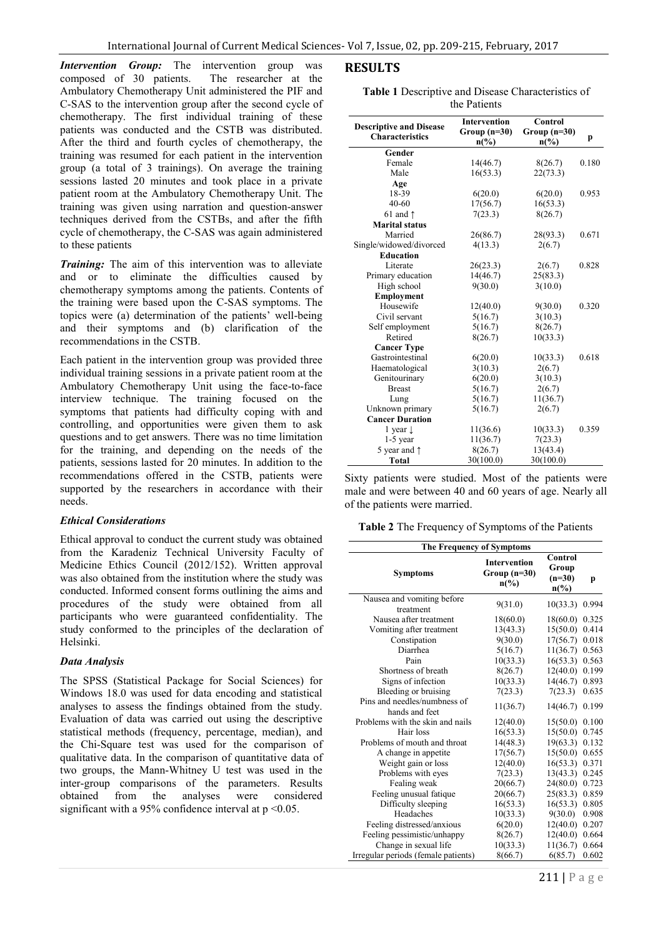*Intervention Group:* The intervention group was composed of 30 patients. The researcher at the composed of 30 patients. Ambulatory Chemotherapy Unit administered the PIF and C-SAS to the intervention group after the second cycle of chemotherapy. The first individual training of these patients was conducted and the CSTB was distributed. After the third and fourth cycles of chemotherapy, the training was resumed for each patient in the intervention group (a total of 3 trainings). On average the training sessions lasted 20 minutes and took place in a private patient room at the Ambulatory Chemotherapy Unit. The training was given using narration and question-answer techniques derived from the CSTBs, and after the fifth cycle of chemotherapy, the C-SAS was again administered to these patients

*Training:* The aim of this intervention was to alleviate and or to eliminate the difficulties caused by chemotherapy symptoms among the patients. Contents of the training were based upon the C-SAS symptoms. The topics were (a) determination of the patients' well-being and their symptoms and (b) clarification of the recommendations in the CSTB.

Each patient in the intervention group was provided three individual training sessions in a private patient room at the Ambulatory Chemotherapy Unit using the face-to-face interview technique. The training focused on the symptoms that patients had difficulty coping with and controlling, and opportunities were given them to ask questions and to get answers. There was no time limitation for the training, and depending on the needs of the patients, sessions lasted for 20 minutes. In addition to the recommendations offered in the CSTB, patients were supported by the researchers in accordance with their needs.

#### *Ethical Considerations*

Ethical approval to conduct the current study was obtained from the Karadeniz Technical University Faculty of Medicine Ethics Council (2012/152). Written approval was also obtained from the institution where the study was conducted. Informed consent forms outlining the aims and procedures of the study were obtained from all participants who were guaranteed confidentiality. The study conformed to the principles of the declaration of Helsinki.

#### *Data Analysis*

The SPSS (Statistical Package for Social Sciences) for Windows 18.0 was used for data encoding and statistical analyses to assess the findings obtained from the study. Evaluation of data was carried out using the descriptive statistical methods (frequency, percentage, median), and the Chi-Square test was used for the comparison of qualitative data. In the comparison of quantitative data of two groups, the Mann-Whitney U test was used in the inter-group comparisons of the parameters. Results obtained from the analyses were considered significant with a 95% confidence interval at  $p < 0.05$ .

| Table 1 Descriptive and Disease Characteristics of |
|----------------------------------------------------|
| the Patients                                       |

| <b>Descriptive and Disease</b> | <b>Intervention</b> | Control        |       |  |  |  |
|--------------------------------|---------------------|----------------|-------|--|--|--|
| <b>Characteristics</b>         | Group $(n=30)$      | $Group (n=30)$ |       |  |  |  |
|                                | $n\binom{0}{0}$     | $n\frac{6}{6}$ | p     |  |  |  |
| Gender                         |                     |                |       |  |  |  |
| Female                         | 14(46.7)            | 8(26.7)        | 0.180 |  |  |  |
| Male                           | 16(53.3)            | 22(73.3)       |       |  |  |  |
| Age                            |                     |                |       |  |  |  |
| 18-39                          | 6(20.0)             | 6(20.0)        | 0.953 |  |  |  |
| $40 - 60$                      | 17(56.7)            | 16(53.3)       |       |  |  |  |
| 61 and $\uparrow$              | 7(23.3)             | 8(26.7)        |       |  |  |  |
| <b>Marital status</b>          |                     |                |       |  |  |  |
| Married                        | 26(86.7)            | 28(93.3)       | 0.671 |  |  |  |
| Single/widowed/divorced        | 4(13.3)             | 2(6.7)         |       |  |  |  |
| <b>Education</b>               |                     |                |       |  |  |  |
| Literate                       | 26(23.3)            | 2(6.7)         | 0.828 |  |  |  |
| Primary education              | 14(46.7)            | 25(83.3)       |       |  |  |  |
| High school                    | 9(30.0)             | 3(10.0)        |       |  |  |  |
| <b>Employment</b>              |                     |                |       |  |  |  |
| Housewife                      | 12(40.0)            | 9(30.0)        | 0.320 |  |  |  |
| Civil servant                  | 5(16.7)             | 3(10.3)        |       |  |  |  |
| Self employment                | 5(16.7)             | 8(26.7)        |       |  |  |  |
| Retired                        | 8(26.7)             | 10(33.3)       |       |  |  |  |
| <b>Cancer Type</b>             |                     |                |       |  |  |  |
| Gastrointestinal               | 6(20.0)             | 10(33.3)       | 0.618 |  |  |  |
| Haematological                 | 3(10.3)             | 2(6.7)         |       |  |  |  |
| Genitourinary                  | 6(20.0)             | 3(10.3)        |       |  |  |  |
| <b>Breast</b>                  | 5(16.7)             | 2(6.7)         |       |  |  |  |
| Lung                           | 5(16.7)             | 11(36.7)       |       |  |  |  |
| Unknown primary                | 5(16.7)             | 2(6.7)         |       |  |  |  |
| <b>Cancer Duration</b>         |                     |                |       |  |  |  |
| 1 year $\downarrow$            | 11(36.6)            | 10(33.3)       | 0.359 |  |  |  |
| $1-5$ year                     | 11(36.7)            | 7(23.3)        |       |  |  |  |
| 5 year and $\uparrow$          | 8(26.7)             | 13(43.4)       |       |  |  |  |
| <b>Total</b>                   | 30(100.0)           | 30(100.0)      |       |  |  |  |

Sixty patients were studied. Most of the patients were male and were between 40 and 60 years of age. Nearly all of the patients were married.

**Table 2** The Frequency of Symptoms of the Patients

| The Frequency of Symptoms                      |                                                          |                                                             |       |  |  |  |
|------------------------------------------------|----------------------------------------------------------|-------------------------------------------------------------|-------|--|--|--|
| Symptoms                                       | <b>Intervention</b><br>$Group (n=30)$<br>$n\binom{0}{0}$ | Control<br>Group<br>$(n=30)$<br>$n\left(\frac{0}{0}\right)$ | p     |  |  |  |
| Nausea and vomiting before<br>treatment        | 9(31.0)                                                  | 10(33.3)                                                    | 0.994 |  |  |  |
| Nausea after treatment                         | 18(60.0)                                                 | 18(60.0)                                                    | 0.325 |  |  |  |
| Vomiting after treatment                       | 13(43.3)                                                 | 15(50.0)                                                    | 0.414 |  |  |  |
| Constipation                                   | 9(30.0)                                                  | 17(56.7)                                                    | 0.018 |  |  |  |
| Diarrhea                                       | 5(16.7)                                                  | 11(36.7)                                                    | 0.563 |  |  |  |
| Pain                                           | 10(33.3)                                                 | 16(53.3)                                                    | 0.563 |  |  |  |
| Shortness of breath                            | 8(26.7)                                                  | 12(40.0)                                                    | 0.199 |  |  |  |
| Signs of infection                             | 10(33.3)                                                 | 14(46.7)                                                    | 0.893 |  |  |  |
| Bleeding or bruising                           | 7(23.3)                                                  | 7(23.3)                                                     | 0.635 |  |  |  |
| Pins and needles/numbness of<br>hands and feet | 11(36.7)                                                 | 14(46.7)                                                    | 0.199 |  |  |  |
| Problems with the skin and nails               | 12(40.0)                                                 | 15(50.0)                                                    | 0.100 |  |  |  |
| Hair loss                                      | 16(53.3)                                                 | 15(50.0)                                                    | 0.745 |  |  |  |
| Problems of mouth and throat                   | 14(48.3)                                                 | 19(63.3)                                                    | 0.132 |  |  |  |
| A change in appetite                           | 17(56.7)                                                 | 15(50.0)                                                    | 0.655 |  |  |  |
| Weight gain or loss                            | 12(40.0)                                                 | 16(53.3)                                                    | 0.371 |  |  |  |
| Problems with eyes                             | 7(23.3)                                                  | 13(43.3)                                                    | 0.245 |  |  |  |
| Fealing weak                                   | 20(66.7)                                                 | 24(80.0)                                                    | 0.723 |  |  |  |
| Feeling unusual fatique                        | 20(66.7)                                                 | 25(83.3)                                                    | 0.859 |  |  |  |
| Difficulty sleeping                            | 16(53.3)                                                 | 16(53.3)                                                    | 0.805 |  |  |  |
| Headaches                                      | 10(33.3)                                                 | 9(30.0)                                                     | 0.908 |  |  |  |
| Feeling distressed/anxious                     | 6(20.0)                                                  | 12(40.0)                                                    | 0.207 |  |  |  |
| Feeling pessimistic/unhappy                    | 8(26.7)                                                  | 12(40.0)                                                    | 0.664 |  |  |  |
| Change in sexual life                          | 10(33.3)                                                 | 11(36.7)                                                    | 0.664 |  |  |  |
| Irregular periods (female patients)            | 8(66.7)                                                  | 6(85.7)                                                     | 0.602 |  |  |  |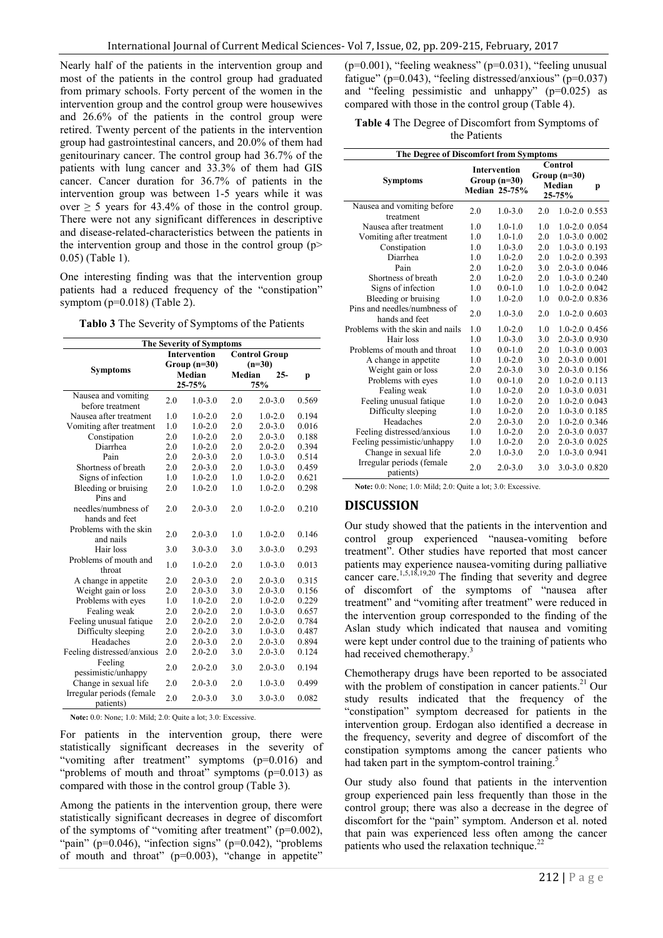Nearly half of the patients in the intervention group and most of the patients in the control group had graduated from primary schools. Forty percent of the women in the intervention group and the control group were housewives and 26.6% of the patients in the control group were retired. Twenty percent of the patients in the intervention group had gastrointestinal cancers, and 20.0% of them had genitourinary cancer. The control group had 36.7% of the patients with lung cancer and 33.3% of them had GIS cancer. Cancer duration for 36.7% of patients in the intervention group was between 1-5 years while it was over  $> 5$  years for 43.4% of those in the control group. There were not any significant differences in descriptive and disease-related-characteristics between the patients in the intervention group and those in the control group  $(p$ 0.05) (Table 1).

One interesting finding was that the intervention group patients had a reduced frequency of the "constipation" symptom (p=0.018) (Table 2).

**Tablo 3** The Severity of Symptoms of the Patients

| The Severity of Symptoms                          |                                      |             |                                  |             |       |
|---------------------------------------------------|--------------------------------------|-------------|----------------------------------|-------------|-------|
| <b>Symptoms</b>                                   | <b>Intervention</b><br>$Group(n=30)$ |             | <b>Control Group</b><br>$(n=30)$ |             |       |
|                                                   | Median<br>25-75%                     |             | Median<br>$25-$<br>75%           |             | p     |
| Nausea and vomiting<br>before treatment           | 2.0                                  | $1.0 - 3.0$ | 2.0                              | $2.0 - 3.0$ | 0.569 |
| Nausea after treatment                            | 1.0                                  | $1.0 - 2.0$ | 2.0                              | $1.0 - 2.0$ | 0.194 |
| Vomiting after treatment                          | 1.0                                  | $1.0 - 2.0$ | 2.0                              | $2.0 - 3.0$ | 0.016 |
| Constipation                                      | 2.0                                  | $1.0 - 2.0$ | 2.0                              | $2.0 - 3.0$ | 0.188 |
| Diarrhea                                          | 2.0                                  | $1.0 - 2.0$ | 2.0                              | $2.0 - 2.0$ | 0.394 |
| Pain                                              | 2.0                                  | $2.0 - 3.0$ | 2.0                              | $1.0 - 3.0$ | 0.514 |
| Shortness of breath                               | 2.0                                  | $2.0 - 3.0$ | 2.0                              | $1.0 - 3.0$ | 0.459 |
| Signs of infection                                | 1.0                                  | $1.0 - 2.0$ | 1.0                              | $1.0 - 2.0$ | 0.621 |
| Bleeding or bruising                              | 2.0                                  | $1.0 - 2.0$ | 1.0                              | $1.0 - 2.0$ | 0.298 |
| Pins and<br>needles/numbness of<br>hands and feet | 2.0                                  | $2.0 - 3.0$ | 2.0                              | $1.0 - 2.0$ | 0.210 |
| Problems with the skin<br>and nails               | 2.0                                  | $2.0 - 3.0$ | 1.0                              | $1.0 - 2.0$ | 0.146 |
| Hair loss                                         | 3.0                                  | $3.0 - 3.0$ | 3.0                              | $3.0 - 3.0$ | 0.293 |
| Problems of mouth and<br>throat                   | 1.0                                  | $1.0 - 2.0$ | 2.0                              | $1.0 - 3.0$ | 0.013 |
| A change in appetite                              | 2.0                                  | $2.0 - 3.0$ | 2.0                              | $2.0 - 3.0$ | 0.315 |
| Weight gain or loss                               | 2.0                                  | $2.0 - 3.0$ | 3.0                              | $2.0 - 3.0$ | 0.156 |
| Problems with eyes                                | 1.0                                  | $1.0 - 2.0$ | 2.0                              | $1.0 - 2.0$ | 0.229 |
| Fealing weak                                      | 2.0                                  | $2.0 - 2.0$ | 2.0                              | $1.0 - 3.0$ | 0.657 |
| Feeling unusual fatique                           | 2.0                                  | $2.0 - 2.0$ | 2.0                              | $2.0 - 2.0$ | 0.784 |
| Difficulty sleeping                               | 2.0                                  | $2.0 - 2.0$ | 3.0                              | $1.0 - 3.0$ | 0.487 |
| Headaches                                         | 2.0                                  | $2.0 - 3.0$ | 2.0                              | $2.0 - 3.0$ | 0.894 |
| Feeling distressed/anxious                        | 2.0                                  | $2.0 - 2.0$ | 3.0                              | $2.0 - 3.0$ | 0.124 |
| Feeling<br>pessimistic/unhappy                    | 2.0                                  | $2.0 - 2.0$ | 3.0                              | $2.0 - 3.0$ | 0.194 |
| Change in sexual life                             | 2.0                                  | $2.0 - 3.0$ | 2.0                              | $1.0 - 3.0$ | 0.499 |
| Irregular periods (female<br>patients)            | 2.0                                  | $2.0 - 3.0$ | 3.0                              | $3.0 - 3.0$ | 0.082 |

**Note:** 0.0: None; 1.0: Mild; 2.0: Quite a lot; 3.0: Excessive.

For patients in the intervention group, there were statistically significant decreases in the severity of "vomiting after treatment" symptoms (p=0.016) and "problems of mouth and throat" symptoms  $(p=0.013)$  as compared with those in the control group (Table 3).

Among the patients in the intervention group, there were statistically significant decreases in degree of discomfort of the symptoms of "vomiting after treatment" (p=0.002), "pain" (p=0.046), "infection signs" (p=0.042), "problems of mouth and throat" (p=0.003), "change in appetite"  $(p=0.001)$ , "feeling weakness"  $(p=0.031)$ , "feeling unusual fatigue" (p=0.043), "feeling distressed/anxious" (p=0.037) and "feeling pessimistic and unhappy" (p=0.025) as compared with those in the control group (Table 4).

#### **Table 4** The Degree of Discomfort from Symptoms of the Patients

| The Degree of Discomfort from Symptoms         |     |                                                               |     |                                              |   |
|------------------------------------------------|-----|---------------------------------------------------------------|-----|----------------------------------------------|---|
| <b>Symptoms</b>                                |     | <b>Intervention</b><br>$Group (n=30)$<br><b>Median 25-75%</b> |     | Control<br>$Group(n=30)$<br>Median<br>25-75% | p |
| Nausea and vomiting before                     | 2.0 | $1.0 - 3.0$                                                   | 2.0 | $1.0 - 2.0$ 0.553                            |   |
| treatment                                      |     |                                                               |     |                                              |   |
| Nausea after treatment                         | 1.0 | $1.0 - 1.0$                                                   | 1.0 | $1.0 - 2.0$ $0.054$                          |   |
| Vomiting after treatment                       | 1.0 | $1.0 - 1.0$                                                   | 2.0 | $1.0 - 3.0 0.002$                            |   |
| Constipation                                   | 1.0 | $1.0 - 3.0$                                                   | 2.0 | $1.0 - 3.0$ 0.193                            |   |
| Diarrhea                                       | 1.0 | $1.0 - 2.0$                                                   | 2.0 | $1.0 - 2.0$ 0.393                            |   |
| Pain                                           | 2.0 | $1.0 - 2.0$                                                   | 3.0 | 2.0-3.0 0.046                                |   |
| Shortness of breath                            | 2.0 | $1.0 - 2.0$                                                   | 2.0 | $1.0 - 3.0$ $0.240$                          |   |
| Signs of infection                             | 1.0 | $0.0 - 1.0$                                                   | 1.0 | $1.0 - 2.0$ $0.042$                          |   |
| Bleeding or bruising                           | 1.0 | $1.0 - 2.0$                                                   | 1.0 | $0.0 - 2.0$ $0.836$                          |   |
| Pins and needles/numbness of<br>hands and feet | 2.0 | $1.0 - 3.0$                                                   | 2.0 | $1.0 - 2.0$ 0.603                            |   |
| Problems with the skin and nails               | 1.0 | $1.0 - 2.0$                                                   | 1.0 | $1.0 - 2.0$ 0.456                            |   |
| Hair loss                                      | 1.0 | $1.0 - 3.0$                                                   | 3.0 | 2.0-3.0 0.930                                |   |
| Problems of mouth and throat                   | 1.0 | $0.0 - 1.0$                                                   | 2.0 | $1.0 - 3.0 0.003$                            |   |
| A change in appetite                           | 1.0 | $1.0 - 2.0$                                                   | 3.0 | 2.0-3.0 0.001                                |   |
| Weight gain or loss                            | 2.0 | $2.0 - 3.0$                                                   | 3.0 | 2.0-3.0 0.156                                |   |
| Problems with eyes                             | 1.0 | $0.0 - 1.0$                                                   | 2.0 | $1.0 - 2.0$ 0.113                            |   |
| Fealing weak                                   | 1.0 | $1.0 - 2.0$                                                   | 2.0 | 1.0-3.0 0.031                                |   |
| Feeling unusual fatique                        | 1.0 | $1.0 - 2.0$                                                   | 2.0 | $1.0 - 2.0$ 0.043                            |   |
| Difficulty sleeping                            | 1.0 | $1.0 - 2.0$                                                   | 2.0 | $1.0 - 3.0$ 0.185                            |   |
| Headaches                                      | 2.0 | $2.0 - 3.0$                                                   | 2.0 | $1.0 - 2.0$ 0.346                            |   |
| Feeling distressed/anxious                     | 1.0 | $1.0 - 2.0$                                                   | 2.0 | 2.0-3.0 0.037                                |   |
| Feeling pessimistic/unhappy                    | 1.0 | $1.0 - 2.0$                                                   | 2.0 | 2.0-3.0 0.025                                |   |
| Change in sexual life                          | 2.0 | $1.0 - 3.0$                                                   | 2.0 | 1.0-3.0 0.941                                |   |
| Irregular periods (female<br>patients)         | 2.0 | $2.0 - 3.0$                                                   | 3.0 | 3.0-3.0 0.820                                |   |

**Note:** 0.0: None; 1.0: Mild; 2.0: Quite a lot; 3.0: Excessive.

## **DISCUSSION**

Our study showed that the patients in the intervention and control group experienced "nausea-vomiting before treatment". Other studies have reported that most cancer patients may experience nausea-vomiting during palliative cancer care.<sup>1,5,18,19,20</sup> The finding that severity and degree of discomfort of the symptoms of "nausea after treatment" and "vomiting after treatment" were reduced in the intervention group corresponded to the finding of the Aslan study which indicated that nausea and vomiting were kept under control due to the training of patients who had received chemotherapy.<sup>3</sup>

Chemotherapy drugs have been reported to be associated with the problem of constipation in cancer patients. $21$  Our study results indicated that the frequency of the "constipation" symptom decreased for patients in the intervention group. Erdogan also identified a decrease in the frequency, severity and degree of discomfort of the constipation symptoms among the cancer patients who had taken part in the symptom-control training.<sup>5</sup>

Our study also found that patients in the intervention group experienced pain less frequently than those in the control group; there was also a decrease in the degree of discomfort for the "pain" symptom. Anderson et al. noted that pain was experienced less often among the cancer patients who used the relaxation technique.<sup>22</sup>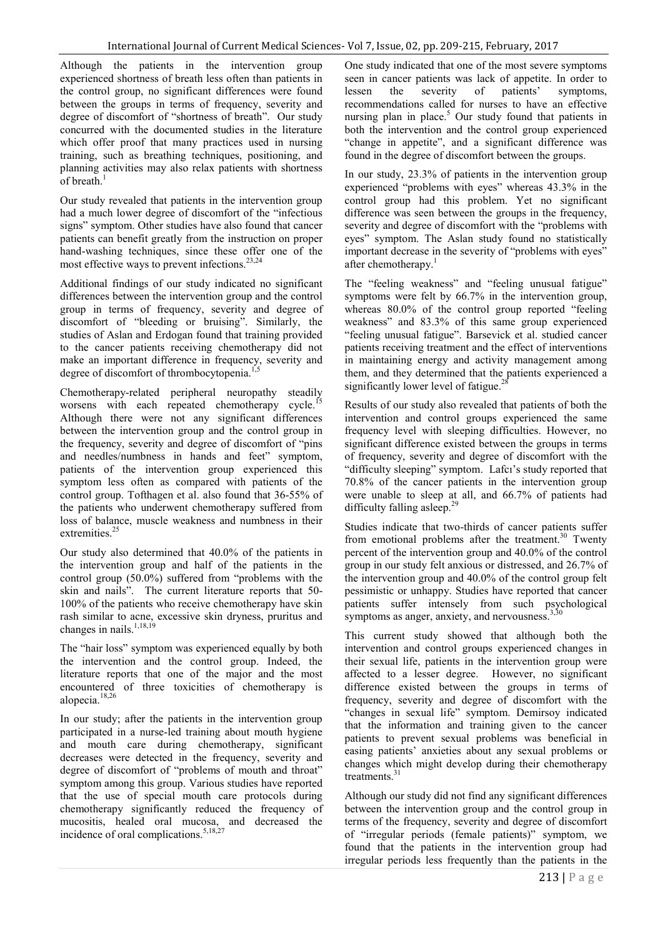Although the patients in the intervention group experienced shortness of breath less often than patients in the control group, no significant differences were found between the groups in terms of frequency, severity and degree of discomfort of "shortness of breath". Our study concurred with the documented studies in the literature which offer proof that many practices used in nursing training, such as breathing techniques, positioning, and planning activities may also relax patients with shortness of breath. $1$ 

Our study revealed that patients in the intervention group had a much lower degree of discomfort of the "infectious signs" symptom. Other studies have also found that cancer patients can benefit greatly from the instruction on proper hand-washing techniques, since these offer one of the most effective ways to prevent infections.  $23,24$ 

Additional findings of our study indicated no significant differences between the intervention group and the control group in terms of frequency, severity and degree of discomfort of "bleeding or bruising". Similarly, the studies of Aslan and Erdogan found that training provided to the cancer patients receiving chemotherapy did not make an important difference in frequency, severity and degree of discomfort of thrombocytopenia.<sup>1</sup>

Chemotherapy-related peripheral neuropathy steadily worsens with each repeated chemotherapy cycle.<sup>15</sup> Although there were not any significant differences between the intervention group and the control group in the frequency, severity and degree of discomfort of "pins and needles/numbness in hands and feet" symptom, patients of the intervention group experienced this symptom less often as compared with patients of the control group. Tofthagen et al. also found that 36-55% of the patients who underwent chemotherapy suffered from loss of balance, muscle weakness and numbness in their extremities.<sup>25</sup>

Our study also determined that 40.0% of the patients in the intervention group and half of the patients in the control group (50.0%) suffered from "problems with the skin and nails". The current literature reports that 50- 100% of the patients who receive chemotherapy have skin rash similar to acne, excessive skin dryness, pruritus and changes in nails.<sup>1,18,19</sup>

The "hair loss" symptom was experienced equally by both the intervention and the control group. Indeed, the literature reports that one of the major and the most encountered of three toxicities of chemotherapy is alopecia.18,26

In our study; after the patients in the intervention group participated in a nurse-led training about mouth hygiene and mouth care during chemotherapy, significant decreases were detected in the frequency, severity and degree of discomfort of "problems of mouth and throat" symptom among this group. Various studies have reported that the use of special mouth care protocols during chemotherapy significantly reduced the frequency of mucositis, healed oral mucosa, and decreased the incidence of oral complications.<sup>5,18,27</sup>

One study indicated that one of the most severe symptoms seen in cancer patients was lack of appetite. In order to lessen the severity of patients' symptoms, recommendations called for nurses to have an effective nursing plan in place.<sup>5</sup> Our study found that patients in both the intervention and the control group experienced "change in appetite", and a significant difference was found in the degree of discomfort between the groups.

In our study, 23.3% of patients in the intervention group experienced "problems with eyes" whereas 43.3% in the control group had this problem. Yet no significant difference was seen between the groups in the frequency, severity and degree of discomfort with the "problems with eyes" symptom. The Aslan study found no statistically important decrease in the severity of "problems with eyes" after chemotherany.<sup>1</sup>

The "feeling weakness" and "feeling unusual fatigue" symptoms were felt by 66.7% in the intervention group, whereas 80.0% of the control group reported "feeling weakness" and 83.3% of this same group experienced "feeling unusual fatigue". Barsevick et al. studied cancer patients receiving treatment and the effect of interventions in maintaining energy and activity management among them, and they determined that the patients experienced a significantly lower level of fatigue.<sup>2</sup>

Results of our study also revealed that patients of both the intervention and control groups experienced the same frequency level with sleeping difficulties. However, no significant difference existed between the groups in terms of frequency, severity and degree of discomfort with the "difficulty sleeping" symptom. Lafcı's study reported that 70.8% of the cancer patients in the intervention group were unable to sleep at all, and 66.7% of patients had difficulty falling asleep.<sup>2</sup>

Studies indicate that two-thirds of cancer patients suffer from emotional problems after the treatment.<sup>30</sup> Twenty percent of the intervention group and 40.0% of the control group in our study felt anxious or distressed, and 26.7% of the intervention group and 40.0% of the control group felt pessimistic or unhappy. Studies have reported that cancer patients suffer intensely from such psychological symptoms as anger, anxiety, and nervousness. $3,3$ 

This current study showed that although both the intervention and control groups experienced changes in their sexual life, patients in the intervention group were affected to a lesser degree. However, no significant difference existed between the groups in terms of frequency, severity and degree of discomfort with the "changes in sexual life" symptom. Demirsoy indicated that the information and training given to the cancer patients to prevent sexual problems was beneficial in easing patients' anxieties about any sexual problems or changes which might develop during their chemotherapy treatments.<sup>31</sup>

Although our study did not find any significant differences between the intervention group and the control group in terms of the frequency, severity and degree of discomfort of "irregular periods (female patients)" symptom, we found that the patients in the intervention group had irregular periods less frequently than the patients in the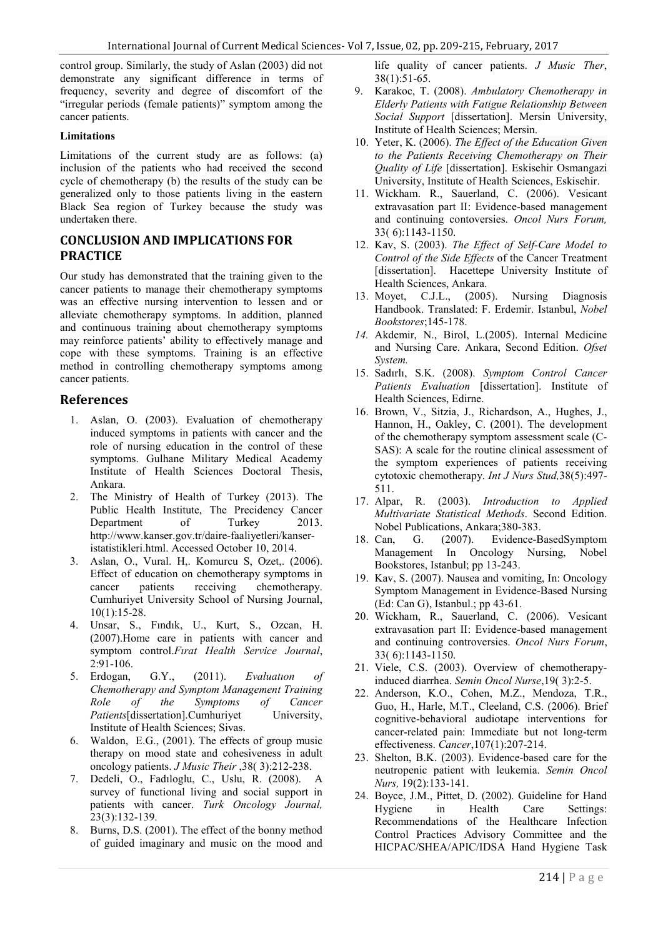control group. Similarly, the study of Aslan (2003) did not demonstrate any significant difference in terms of frequency, severity and degree of discomfort of the "irregular periods (female patients)" symptom among the cancer patients.

#### **Limitations**

Limitations of the current study are as follows: (a) inclusion of the patients who had received the second cycle of chemotherapy (b) the results of the study can be generalized only to those patients living in the eastern Black Sea region of Turkey because the study was undertaken there.

## **CONCLUSION AND IMPLICATIONS FOR PRACTICE**

Our study has demonstrated that the training given to the cancer patients to manage their chemotherapy symptoms was an effective nursing intervention to lessen and or alleviate chemotherapy symptoms. In addition, planned and continuous training about chemotherapy symptoms may reinforce patients' ability to effectively manage and cope with these symptoms. Training is an effective method in controlling chemotherapy symptoms among cancer patients.

## **References**

- 1. Aslan, O. (2003). Evaluation of chemotherapy induced symptoms in patients with cancer and the role of nursing education in the control of these symptoms. Gulhane Military Medical Academy Institute of Health Sciences Doctoral Thesis, Ankara.
- 2. The Ministry of Health of Turkey (2013). The Public Health Institute, The Precidency Cancer Department of Turkey 2013. http://www.kanser.gov.tr/daire-faaliyetleri/kanseristatistikleri.html. Accessed October 10, 2014.
- 3. Aslan, O., Vural. H,. Komurcu S, Ozet,. (2006). Effect of education on chemotherapy symptoms in cancer patients receiving chemotherapy. Cumhuriyet University School of Nursing Journal, 10(1):15-28.
- 4. Unsar, S., Fındık, U., Kurt, S., Ozcan, H. (2007).Home care in patients with cancer and symptom control.*Fırat Health Service Journal*, 2:91-106.
- 5. Erdogan, G.Y., (2011). *Evaluatıon of Chemotherapy and Symptom Management Training Role of the Symptoms of Cancer Patients*[dissertation].Cumhurivet University, Institute of Health Sciences; Sivas.
- 6. Waldon, E.G., (2001). The effects of group music therapy on mood state and cohesiveness in adult oncology patients. *J Music Their* ,38( 3):212-238.
- 7. Dedeli, O., Fadıloglu, C., Uslu, R. (2008). A survey of functional living and social support in patients with cancer. *Turk Oncology Journal,* 23(3):132-139.
- 8. Burns, D.S. (2001). The effect of the bonny method of guided imaginary and music on the mood and

life quality of cancer patients. *J Music Ther*, 38(1):51-65.

- 9. Karakoc, T. (2008). *Ambulatory Chemotherapy in Elderly Patients with Fatigue Relationship Between Social Support* [dissertation]. Mersin University, Institute of Health Sciences; Mersin.
- 10. Yeter, K. (2006). *The Effect of the Education Given to the Patients Receiving Chemotherapy on Their Quality of Life* [dissertation]. Eskisehir Osmangazi University, Institute of Health Sciences, Eskisehir.
- 11. Wickham. R., Sauerland, C. (2006). Vesicant extravasation part II: Evidence-based management and continuing contoversies. *Oncol Nurs Forum,* 33( 6):1143-1150.
- 12. Kav, S. (2003). *The Effect of Self-Care Model to Control of the Side Effects* of the Cancer Treatment [dissertation]. Hacettepe University Institute of Health Sciences, Ankara.
- 13. Moyet, C.J.L., (2005). Nursing Diagnosis Handbook. Translated: F. Erdemir. Istanbul, *Nobel Bookstores*;145-178.
- *14.* Akdemir, N., Birol, L.(2005). Internal Medicine and Nursing Care. Ankara, Second Edition. *Ofset System.*
- 15. Sadırlı, S.K. (2008). *Symptom Control Cancer Patients Evaluation* [dissertation]. Institute of Health Sciences, Edirne.
- 16. Brown, V., Sitzia, J., Richardson, A., Hughes, J., Hannon, H., Oakley, C. (2001). The development of the chemotherapy symptom assessment scale (C-SAS): A scale for the routine clinical assessment of the symptom experiences of patients receiving cytotoxic chemotherapy. *Int J Nurs Stud,*38(5):497- 511.
- 17. Alpar, R. (2003). *Introduction to Applied Multivariate Statistical Methods*. Second Edition. Nobel Publications, Ankara;380-383.
- 18. Can, G. (2007). Evidence-BasedSymptom Management In Oncology Nursing, Nobel Bookstores, Istanbul; pp 13-243.
- 19. Kav, S. (2007). Nausea and vomiting, In: Oncology Symptom Management in Evidence-Based Nursing (Ed: Can G), Istanbul.; pp 43-61.
- 20. Wickham, R., Sauerland, C. (2006). Vesicant extravasation part II: Evidence-based management and continuing controversies. *Oncol Nurs Forum*, 33( 6):1143-1150.
- 21. Viele, C.S. (2003). Overview of chemotherapyinduced diarrhea. *Semin Oncol Nurse*,19( 3):2-5.
- 22. Anderson, K.O., Cohen, M.Z., Mendoza, T.R., Guo, H., Harle, M.T., Cleeland, C.S. (2006). Brief cognitive-behavioral audiotape interventions for cancer-related pain: Immediate but not long-term effectiveness. *Cancer*,107(1):207-214.
- 23. Shelton, B.K. (2003). Evidence-based care for the neutropenic patient with leukemia. *Semin Oncol Nurs,* 19(2):133-141.
- 24. Boyce, J.M., Pittet, D. (2002). Guideline for Hand Hygiene in Health Care Settings: Recommendations of the Healthcare Infection Control Practices Advisory Committee and the HICPAC/SHEA/APIC/IDSA Hand Hygiene Task